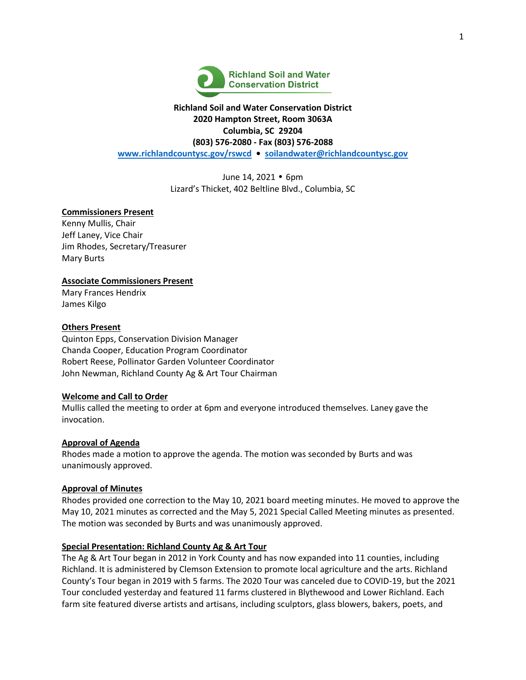

# **Richland Soil and Water Conservation District 2020 Hampton Street, Room 3063A Columbia, SC 29204 (803) 576-2080 - Fax (803) 576-2088 [www.richlandcountysc.gov/rswcd](http://www.richlandcountysc.gov/rswcd) • [soilandwater@richlandcountysc.gov](mailto:soilandwater@richlandcountysc.gov)**

June 14, 2021 • 6pm Lizard's Thicket, 402 Beltline Blvd., Columbia, SC

## **Commissioners Present**

Kenny Mullis, Chair Jeff Laney, Vice Chair Jim Rhodes, Secretary/Treasurer Mary Burts

## **Associate Commissioners Present**

Mary Frances Hendrix James Kilgo

### **Others Present**

Quinton Epps, Conservation Division Manager Chanda Cooper, Education Program Coordinator Robert Reese, Pollinator Garden Volunteer Coordinator John Newman, Richland County Ag & Art Tour Chairman

### **Welcome and Call to Order**

Mullis called the meeting to order at 6pm and everyone introduced themselves. Laney gave the invocation.

### **Approval of Agenda**

Rhodes made a motion to approve the agenda. The motion was seconded by Burts and was unanimously approved.

### **Approval of Minutes**

Rhodes provided one correction to the May 10, 2021 board meeting minutes. He moved to approve the May 10, 2021 minutes as corrected and the May 5, 2021 Special Called Meeting minutes as presented. The motion was seconded by Burts and was unanimously approved.

### **Special Presentation: Richland County Ag & Art Tour**

The Ag & Art Tour began in 2012 in York County and has now expanded into 11 counties, including Richland. It is administered by Clemson Extension to promote local agriculture and the arts. Richland County's Tour began in 2019 with 5 farms. The 2020 Tour was canceled due to COVID-19, but the 2021 Tour concluded yesterday and featured 11 farms clustered in Blythewood and Lower Richland. Each farm site featured diverse artists and artisans, including sculptors, glass blowers, bakers, poets, and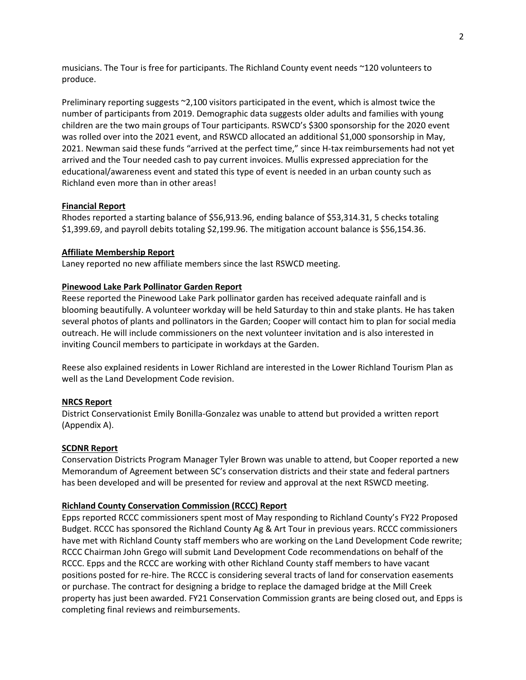musicians. The Tour is free for participants. The Richland County event needs ~120 volunteers to produce.

Preliminary reporting suggests ~2,100 visitors participated in the event, which is almost twice the number of participants from 2019. Demographic data suggests older adults and families with young children are the two main groups of Tour participants. RSWCD's \$300 sponsorship for the 2020 event was rolled over into the 2021 event, and RSWCD allocated an additional \$1,000 sponsorship in May, 2021. Newman said these funds "arrived at the perfect time," since H-tax reimbursements had not yet arrived and the Tour needed cash to pay current invoices. Mullis expressed appreciation for the educational/awareness event and stated this type of event is needed in an urban county such as Richland even more than in other areas!

### **Financial Report**

Rhodes reported a starting balance of \$56,913.96, ending balance of \$53,314.31, 5 checks totaling \$1,399.69, and payroll debits totaling \$2,199.96. The mitigation account balance is \$56,154.36.

### **Affiliate Membership Report**

Laney reported no new affiliate members since the last RSWCD meeting.

### **Pinewood Lake Park Pollinator Garden Report**

Reese reported the Pinewood Lake Park pollinator garden has received adequate rainfall and is blooming beautifully. A volunteer workday will be held Saturday to thin and stake plants. He has taken several photos of plants and pollinators in the Garden; Cooper will contact him to plan for social media outreach. He will include commissioners on the next volunteer invitation and is also interested in inviting Council members to participate in workdays at the Garden.

Reese also explained residents in Lower Richland are interested in the Lower Richland Tourism Plan as well as the Land Development Code revision.

### **NRCS Report**

District Conservationist Emily Bonilla-Gonzalez was unable to attend but provided a written report (Appendix A).

### **SCDNR Report**

Conservation Districts Program Manager Tyler Brown was unable to attend, but Cooper reported a new Memorandum of Agreement between SC's conservation districts and their state and federal partners has been developed and will be presented for review and approval at the next RSWCD meeting.

### **Richland County Conservation Commission (RCCC) Report**

Epps reported RCCC commissioners spent most of May responding to Richland County's FY22 Proposed Budget. RCCC has sponsored the Richland County Ag & Art Tour in previous years. RCCC commissioners have met with Richland County staff members who are working on the Land Development Code rewrite; RCCC Chairman John Grego will submit Land Development Code recommendations on behalf of the RCCC. Epps and the RCCC are working with other Richland County staff members to have vacant positions posted for re-hire. The RCCC is considering several tracts of land for conservation easements or purchase. The contract for designing a bridge to replace the damaged bridge at the Mill Creek property has just been awarded. FY21 Conservation Commission grants are being closed out, and Epps is completing final reviews and reimbursements.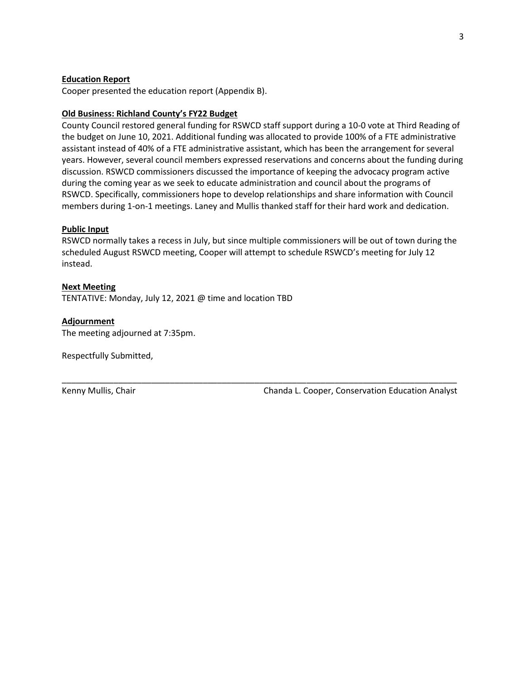### **Education Report**

Cooper presented the education report (Appendix B).

### **Old Business: Richland County's FY22 Budget**

County Council restored general funding for RSWCD staff support during a 10-0 vote at Third Reading of the budget on June 10, 2021. Additional funding was allocated to provide 100% of a FTE administrative assistant instead of 40% of a FTE administrative assistant, which has been the arrangement for several years. However, several council members expressed reservations and concerns about the funding during discussion. RSWCD commissioners discussed the importance of keeping the advocacy program active during the coming year as we seek to educate administration and council about the programs of RSWCD. Specifically, commissioners hope to develop relationships and share information with Council members during 1-on-1 meetings. Laney and Mullis thanked staff for their hard work and dedication.

## **Public Input**

RSWCD normally takes a recess in July, but since multiple commissioners will be out of town during the scheduled August RSWCD meeting, Cooper will attempt to schedule RSWCD's meeting for July 12 instead.

\_\_\_\_\_\_\_\_\_\_\_\_\_\_\_\_\_\_\_\_\_\_\_\_\_\_\_\_\_\_\_\_\_\_\_\_\_\_\_\_\_\_\_\_\_\_\_\_\_\_\_\_\_\_\_\_\_\_\_\_\_\_\_\_\_\_\_\_\_\_\_\_\_\_\_\_\_\_\_\_\_\_\_\_

#### **Next Meeting**

TENTATIVE: Monday, July 12, 2021 @ time and location TBD

#### **Adjournment**

The meeting adjourned at 7:35pm.

Respectfully Submitted,

Kenny Mullis, Chair **Chanda L. Cooper, Conservation Education Analyst** Chanda L. Cooper, Conservation Education Analyst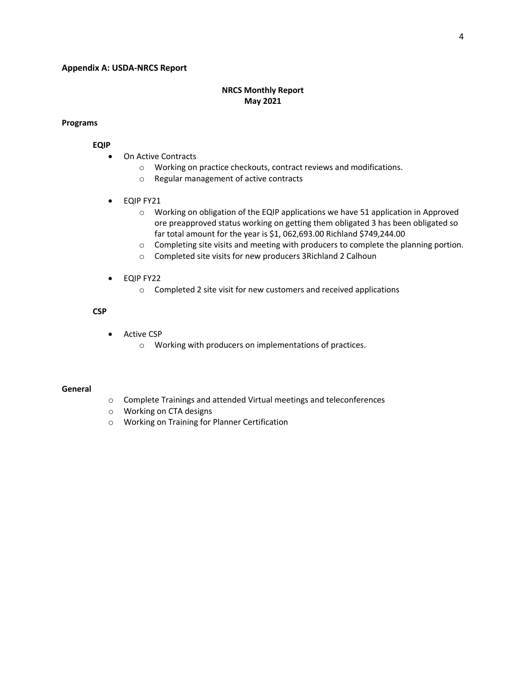### **Appendix A: USDA-NRCS Report**

## **NRCS Monthly Report May 2021**

### **Programs**

#### **EQIP**

- On Active Contracts
	- o Working on practice checkouts, contract reviews and modifications.
	- o Regular management of active contracts
- EQIP FY21
	- o Working on obligation of the EQIP applications we have 51 application in Approved ore preapproved status working on getting them obligated 3 has been obligated so far total amount for the year is \$1, 062,693.00 Richland \$749,244.00
	- o Completing site visits and meeting with producers to complete the planning portion.
	- o Completed site visits for new producers 3Richland 2 Calhoun
- **•** EQIP FY22
	- o Completed 2 site visit for new customers and received applications

### **CSP**

- Active CSP
	- o Working with producers on implementations of practices.

### **General**

- o Complete Trainings and attended Virtual meetings and teleconferences
- o Working on CTA designs
- o Working on Training for Planner Certification